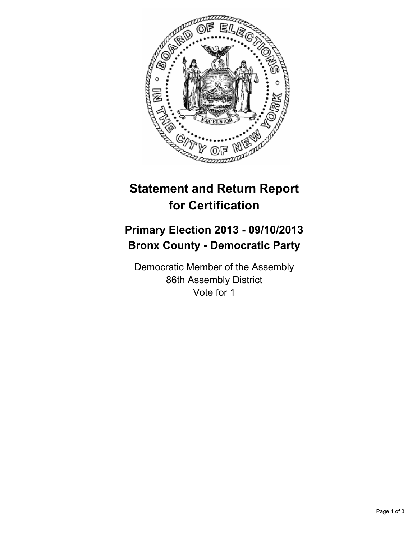

# **Statement and Return Report for Certification**

## **Primary Election 2013 - 09/10/2013 Bronx County - Democratic Party**

Democratic Member of the Assembly 86th Assembly District Vote for 1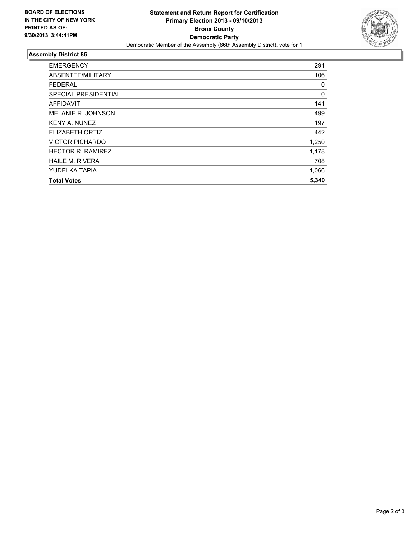

### **Assembly District 86**

| <b>EMERGENCY</b>          | 291      |
|---------------------------|----------|
| ABSENTEE/MILITARY         | 106      |
| <b>FEDERAL</b>            | 0        |
| SPECIAL PRESIDENTIAL      | $\Omega$ |
| AFFIDAVIT                 | 141      |
| <b>MELANIE R. JOHNSON</b> | 499      |
| <b>KENY A. NUNEZ</b>      | 197      |
| ELIZABETH ORTIZ           | 442      |
| <b>VICTOR PICHARDO</b>    | 1,250    |
| <b>HECTOR R. RAMIREZ</b>  | 1,178    |
| <b>HAILE M. RIVERA</b>    | 708      |
| YUDELKA TAPIA             | 1,066    |
| <b>Total Votes</b>        | 5,340    |